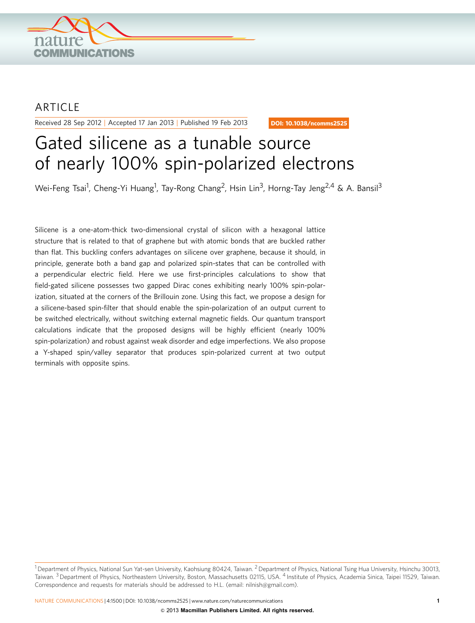

# ARTICLE

Received 28 Sep 2012 | Accepted 17 Jan 2013 | Published 19 Feb 2013

DOI: 10.1038/ncomms2525

# Gated silicene as a tunable source of nearly 100% spin-polarized electrons

Wei-Feng Tsai<sup>1</sup>, Cheng-Yi Huang<sup>1</sup>, Tay-Rong Chang<sup>2</sup>, Hsin Lin<sup>3</sup>, Horng-Tay Jeng<sup>2,4</sup> & A. Bansil<sup>3</sup>

Silicene is a one-atom-thick two-dimensional crystal of silicon with a hexagonal lattice structure that is related to that of graphene but with atomic bonds that are buckled rather than flat. This buckling confers advantages on silicene over graphene, because it should, in principle, generate both a band gap and polarized spin-states that can be controlled with a perpendicular electric field. Here we use first-principles calculations to show that field-gated silicene possesses two gapped Dirac cones exhibiting nearly 100% spin-polarization, situated at the corners of the Brillouin zone. Using this fact, we propose a design for a silicene-based spin-filter that should enable the spin-polarization of an output current to be switched electrically, without switching external magnetic fields. Our quantum transport calculations indicate that the proposed designs will be highly efficient (nearly 100% spin-polarization) and robust against weak disorder and edge imperfections. We also propose a Y-shaped spin/valley separator that produces spin-polarized current at two output terminals with opposite spins.

 $^1$ Department of Physics, National Sun Yat-sen University, Kaohsiung 80424, Taiwan. <sup>2</sup> Department of Physics, National Tsing Hua University, Hsinchu 30013, Taiwan. <sup>3</sup> Department of Physics, Northeastern University, Boston, Massachusetts 02115, USA. <sup>4</sup> Institute of Physics, Academia Sinica, Taipei 11529, Taiwan. Correspondence and requests for materials should be addressed to H.L. (email: [nilnish@gmail.com](mailto:nilnish@gmail.com)).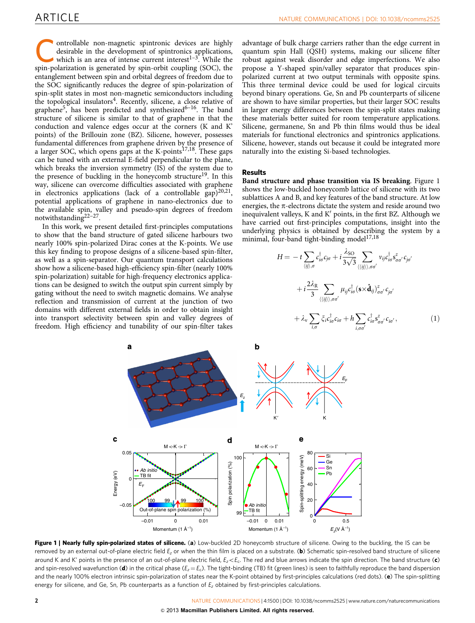<span id="page-1-0"></span>ontrollable non-magnetic spintronic devices are highly desirable in the development of spintronics applications, which is an area of intense current interest $1-3$ . While the spin-polarization is generated by spin-orbit coupling (SOC), the entanglement between spin and orbital degrees of freedom due to the SOC significantly reduces the degree of spin-polarization of spin-split states in most non-magnetic semiconductors including the topological insulators<sup>[4](#page-5-0)</sup>. Recently, silicene, a close relative of graphene<sup>[5](#page-5-0)</sup>, has been predicted and synthesized<sup>6-16</sup>. The band structure of silicene is similar to that of graphene in that the conduction and valence edges occur at the corners (K and K' points) of the Brillouin zone (BZ). Silicene, however, possesses fundamental differences from graphene driven by the presence of a larger SOC, which opens gaps at the K-points<sup>17,18</sup>. These gaps can be tuned with an external E-field perpendicular to the plane, which breaks the inversion symmetry (IS) of the system due to the presence of buckling in the honeycomb structure<sup>19</sup>. In this way, silicene can overcome difficulties associated with graphene in electronics applications (lack of a controllable gap)<sup>20,21</sup>, potential applications of graphene in nano-electronics due to the available spin, valley and pseudo-spin degrees of freedom notwithstandin[g22–27.](#page-5-0)

In this work, we present detailed first-principles computations to show that the band structure of gated silicene harbours two nearly 100% spin-polarized Dirac cones at the K-points. We use this key finding to propose designs of a silicene-based spin-filter, as well as a spin-separator. Our quantum transport calculations show how a silicene-based high-efficiency spin-filter (nearly 100% spin-polarization) suitable for high-frequency electronics applications can be designed to switch the output spin current simply by gating without the need to switch magnetic domains. We analyse reflection and transmission of current at the junction of two domains with different external fields in order to obtain insight into transport selectivity between spin and valley degrees of freedom. High efficiency and tunability of our spin-filter takes advantage of bulk charge carriers rather than the edge current in quantum spin Hall (QSH) systems, making our silicene filter robust against weak disorder and edge imperfections. We also propose a Y-shaped spin/valley separator that produces spinpolarized current at two output terminals with opposite spins. This three terminal device could be used for logical circuits beyond binary operations. Ge, Sn and Pb counterparts of silicene are shown to have similar properties, but their larger SOC results in larger energy differences between the spin-split states making these materials better suited for room temperature applications. Silicene, germanene, Sn and Pb thin films would thus be ideal materials for functional electronics and spintronics applications. Silicene, however, stands out because it could be integrated more naturally into the existing Si-based technologies.

### Results

Band structure and phase transition via IS breaking. Figure 1 shows the low-buckled honeycomb lattice of silicene with its two sublattices A and B, and key features of the band structure. At low energies, the  $\pi$ -electrons dictate the system and reside around two inequivalent valleys, K and  $K'$  points, in the first BZ. Although we have carried out first-principles computations, insight into the underlying physics is obtained by describing the system by a minimal, four-band tight-binding model $17,18$ 

$$
H = -t \sum_{\langle ij \rangle,\sigma} c_{i\sigma}^{\dagger} c_{j\sigma} + i \frac{\lambda_{\text{SO}}}{3\sqrt{3}} \sum_{\langle\langle ij \rangle\rangle,\sigma\sigma'} v_{ij} c_{i\sigma}^{\dagger} s_{\sigma\sigma'}^{z} c_{j\sigma'}
$$

$$
+ i \frac{2\lambda_{\text{R}}}{3} \sum_{\langle\langle ij \rangle\rangle,\sigma\sigma'} \mu_{ij} c_{i\sigma}^{\dagger} (\mathbf{s} \times \hat{\mathbf{d}}_{ij})_{\sigma\sigma'}^{z} c_{j\sigma'}
$$

$$
+ \lambda_{\text{V}} \sum_{i,\sigma} \xi_{i} c_{i\sigma}^{\dagger} c_{i\sigma} + h \sum_{i,\sigma\sigma'} c_{i\sigma}^{\dagger} s_{\sigma\sigma'}^{z} c_{i\sigma'}, \qquad (1)
$$



Figure 1 | Nearly fully spin-polarized states of silicene. (a) Low-buckled 2D honeycomb structure of silicene. Owing to the buckling, the IS can be removed by an external out-of-plane electric field  $E_z$  or when the thin film is placed on a substrate. (b) Schematic spin-resolved band structure of silicene around K and K' points in the presence of an out-of-plane electric field,  $E_z < E_c$ . The red and blue arrows indicate the spin direction. The band structure (c) and spin-resolved wavefunction (d) in the critical phase ( $E_z = E_c$ ). The tight-binding (TB) fit (green lines) is seen to faithfully reproduce the band dispersion and the nearly 100% electron intrinsic spin-polarization of states near the K-point obtained by first-principles calculations (red dots). (e) The spin-splitting energy for silicene, and Ge, Sn, Pb counterparts as a function of  $E<sub>z</sub>$  obtained by first-principles calculations.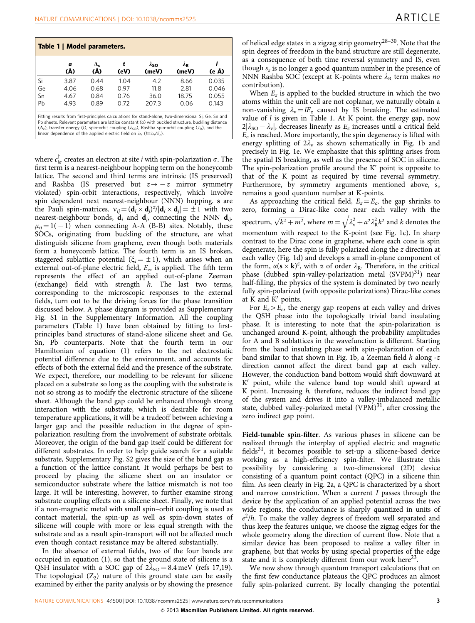<span id="page-2-0"></span>

|    | a<br>(Å)                                                                                   | Δ.<br>(Å) | (eV) | λsο<br>(meV) | λR<br>(meV)                                                                                                                                                                                                                                                                                                                              | (e Å) |
|----|--------------------------------------------------------------------------------------------|-----------|------|--------------|------------------------------------------------------------------------------------------------------------------------------------------------------------------------------------------------------------------------------------------------------------------------------------------------------------------------------------------|-------|
| Si | 3.87                                                                                       | 0.44      | 1.04 | 4.2          | 8.66                                                                                                                                                                                                                                                                                                                                     | 0.035 |
| Ge | 4.06                                                                                       | 0.68      | 0.97 | 11.8         | 2.81                                                                                                                                                                                                                                                                                                                                     | 0.046 |
| Sn | 4.67                                                                                       | 0.84      | 0.76 | 36.0         | 18.75                                                                                                                                                                                                                                                                                                                                    | 0.055 |
| Pb | 4.93                                                                                       | 0.89      | 0.72 | 207.3        | 0.06                                                                                                                                                                                                                                                                                                                                     | 0.143 |
|    | linear dependence of the applied electric field on $\lambda_V$ ( $\equiv \lambda_V/E_z$ ). |           |      |              | Fitting results from first-principles calculations for stand-alone, two-dimensional Si, Ge, Sn and<br>Pb sheets. Relevant parameters are lattice constant (a) with buckled structure, buckling distance<br>$(\Delta_c)$ , transfer energy (t), spin-orbit coupling $(\lambda_{SO})$ , Rashba spin-orbit coupling $(\lambda_R)$ , and the |       |

where  $c_{i\sigma}^{\dagger}$  creates an electron at site *i* with spin-polarization  $\sigma$ . The first term is a nearest-neighbour hopping term on the honeycomb lattice. The second and third terms are intrinsic (IS preserved) and Rashba (IS preserved but  $z \rightarrow -z$  mirror symmetry violated) spin-orbit interactions, respectively, which involve spin dependent next nearest-neighbour (NNN) hopping. s are the Pauli spin-matrices.  $v_{ij} = (\mathbf{d}_i \times \mathbf{d}_j)^2/|\mathbf{d}_i \times \mathbf{d}_j| = \pm 1$  with two nearest-neighbour bonds,  $\mathbf{d}_i$  and  $\mathbf{d}_j$ , connecting the NNN  $\mathbf{d}_{ij}$ .  $\mu_{ij} = 1(-1)$  when connecting A-A (B-B) sites. Notably, these SOCs, originating from buckling of the structure, are what distinguish silicene from graphene, even though both materials form a honeycomb lattice. The fourth term is an IS broken, staggered sublattice potential ( $\xi_i = \pm 1$ ), which arises when an external out-of-plane electric field,  $E_z$ , is applied. The fifth term represents the effect of an applied out-of-plane Zeeman (exchange) field with strength h. The last two terms, corresponding to the microscopic responses to the external fields, turn out to be the driving forces for the phase transition discussed below. A phase diagram is provided as Supplementary Fig. S1 in the Supplementary Information. All the coupling parameters (Table 1) have been obtained by fitting to firstprinciples band structures of stand-alone silicene sheet and Ge, Sn, Pb counterparts. Note that the fourth term in our Hamiltonian of equation (1) refers to the net electrostatic potential difference due to the environment, and accounts for effects of both the external field and the presence of the substrate. We expect, therefore, our modelling to be relevant for silicene placed on a substrate so long as the coupling with the substrate is not so strong as to modify the electronic structure of the silicene sheet. Although the band gap could be enhanced through strong interaction with the substrate, which is desirable for room temperature applications, it will be a tradeoff between achieving a larger gap and the possible reduction in the degree of spinpolarization resulting from the involvement of substrate orbitals. Moreover, the origin of the band gap itself could be different for different substrates. In order to help guide search for a suitable substrate, Supplementary Fig. S2 gives the size of the band gap as a function of the lattice constant. It would perhaps be best to proceed by placing the silicene sheet on an insulator or semiconductor substrate where the lattice mismatch is not too large. It will be interesting, however, to further examine strong substrate coupling effects on a silicene sheet. Finally, we note that if a non-magnetic metal with small spin–orbit coupling is used as contact material, the spin-up as well as spin-down states of silicene will couple with more or less equal strength with the substrate and as a result spin-transport will not be affected much even though contact resistance may be altered substantially.

In the absence of external fields, two of the four bands are occupied in equation (1), so that the ground state of silicene is a QSH insulator with a SOC gap of  $2\lambda_{\text{SO}} = 8.4 \text{ meV}$  (refs 17,19). The topological  $(Z_2)$  nature of this ground state can be easily examined by either the parity analysis or by showing the presence

of helical edge states in a zigzag strip geometry<sup>[28–30](#page-5-0)</sup>. Note that the spin degrees of freedom in the band structure are still degenerate, as a consequence of both time reversal symmetry and IS, even though  $s<sub>z</sub>$  is no longer a good quantum number in the presence of NNN Rashba SOC (except at K-points where  $\lambda_R$  term makes no contribution).

When  $E_z$  is applied to the buckled structure in which the two atoms within the unit cell are not coplanar, we naturally obtain a non-vanishing  $\lambda_{v} = lE_{z}$  caused by IS breaking. The estimated value of  $l$  is given in Table 1. At K point, the energy gap, now  $2|\lambda_{\text{SO}} - \lambda_{\text{v}}|$ , decreases linearly as  $E_z$  increases until a critical field  $E_c$  is reached. More importantly, the spin degeneracy is lifted with energy splitting of  $2\lambda_v$  as shown schematically in [Fig. 1b](#page-1-0) and precisely in [Fig. 1e.](#page-1-0) We emphasize that this splitting arises from the spatial IS breaking, as well as the presence of SOC in silicene. The spin-polarization profile around the K' point is opposite to that of the K point as required by time reversal symmetry. Furthermore, by symmetry arguments mentioned above,  $s_z$ remains a good quantum number at K-points.

As approaching the critical field,  $E_z = E_c$ , the gap shrinks to zero, forming a Dirac-like cone near each valley with the spectrum,  $\sqrt{k^2 + m^2}$ , where  $m = \sqrt{\lambda_v^2 + a^2 \lambda_R^2 k^2}$  $\mathbb{Z}$ and k denotes the momentum with respect to the K-point (see [Fig. 1c](#page-1-0)). In sharp contrast to the Dirac cone in graphene, where each cone is spin degenerate, here the spin is fully polarized along the z direction at each valley ([Fig. 1d\)](#page-1-0) and develops a small in-plane component of the form,  $\alpha$ (s × k)<sup>z</sup>, with  $\alpha$  of order  $\lambda_R$ . Therefore, in the critical phase (dubbed spin-valley-polarization metal (SVPM)<sup>31</sup>) near half-filling, the physics of the system is dominated by two nearly fully spin-polarized (with opposite polarizations) Dirac-like cones at  $K$  and  $K'$  points.

For  $E_z>E_c$ , the energy gap reopens at each valley and drives the QSH phase into the topologically trivial band insulating phase. It is interesting to note that the spin-polarization is unchanged around K-point, although the probability amplitudes for A and B sublattices in the wavefunction is different. Starting from the band insulating phase with spin-polarization of each band similar to that shown in [Fig. 1b,](#page-1-0) a Zeeman field  $h$  along -z direction cannot affect the direct band gap at each valley. However, the conduction band bottom would shift downward at K' point, while the valence band top would shift upward at K point. Increasing  $h$ , therefore, reduces the indirect band gap of the system and drives it into a valley-imbalanced metallic state, dubbed valley-polarized metal  $(VPM)^{31}$ , after crossing the zero indirect gap point.

Field-tunable spin-filter. As various phases in silicene can be realized through the interplay of applied electric and magnetic fields $31$ , it becomes possible to set-up a silicene-based device working as a high-efficiency spin-filter. We illustrate this possibility by considering a two-dimensional (2D) device consisting of a quantum point contact (QPC) in a silicene thin film. As seen clearly in [Fig. 2a,](#page-3-0) a QPC is characterized by a short and narrow constriction. When a current I passes through the device by the application of an applied potential across the two wide regions, the conductance is sharply quantized in units of  $e^2/h$ . To make the valley degrees of freedom well separated and thus keep the features unique, we choose the zigzag edges for the whole geometry along the direction of current flow. Note that a similar device has been proposed to realize a valley filter in graphene, but that works by using special properties of the edge state and it is completely different from our work here<sup>23</sup>.

We now show through quantum transport calculations that on the first few conductance plateaus the QPC produces an almost fully spin-polarized current. By locally changing the potential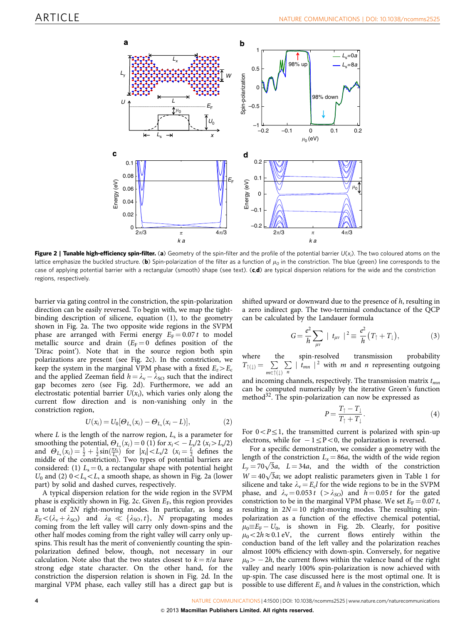<span id="page-3-0"></span>

**Figure 2 | Tunable high-efficiency spin-filter. (a**) Geometry of the spin-filter and the profile of the potential barrier U(x<sub>i</sub>). The two coloured atoms on the lattice emphasize the buckled structure. (b) Spin-polarization of the filter as a function of  $\mu_0$  in the constriction. The blue (green) line corresponds to the case of applying potential barrier with a rectangular (smooth) shape (see text).  $(c,d)$  are typical dispersion relations for the wide and the constriction regions, respectively.

barrier via gating control in the constriction, the spin-polarization direction can be easily reversed. To begin with, we map the tightbinding description of silicene, equation (1), to the geometry shown in Fig. 2a. The two opposite wide regions in the SVPM phase are arranged with Fermi energy  $E_F = 0.07 t$  to model metallic source and drain  $(E_F = 0$  defines position of the 'Dirac point'). Note that in the source region both spin polarizations are present (see Fig. 2c). In the constriction, we keep the system in the marginal VPM phase with a fixed  $E_z>E_c$ and the applied Zeeman field  $h = \lambda_{\rm v} - \lambda_{\rm SO}$  such that the indirect gap becomes zero (see Fig. 2d). Furthermore, we add an electrostatic potential barrier  $U(x_i)$ , which varies only along the current flow direction and is non-vanishing only in the constriction region,

$$
U(x_i) = U_0[\Theta_{L_s}(x_i) - \Theta_{L_s}(x_i - L)], \qquad (2)
$$

where L is the length of the narrow region,  $L<sub>s</sub>$  is a parameter for smoothing the potential,  $\Theta_{L_s}(x_i) = 0$  (1) for  $x_i < -L_s/2$   $(x_i>L_s/2)$ and  $\Theta_{L_s}(x_i) = \frac{1}{2} + \frac{1}{2} \sin(\frac{\pi x_i}{L_s})$  for  $|x_i| < L_s/2$  ( $x_i = \frac{L}{2}$  defines the middle of the constriction). Two types of potential barriers are considered: (1)  $L_s = 0$ , a rectangular shape with potential height  $U_0$  and (2)  $0 < L_s < L$ , a smooth shape, as shown in Fig. 2a (lower part) by solid and dashed curves, respectively.

A typical dispersion relation for the wide region in the SVPM phase is explicitly shown in Fig. 2c. Given  $E_F$ , this region provides a total of 2N right-moving modes. In particular, as long as  $E_F < (\lambda_v + \lambda_{SO})$  and  $\lambda_R \ll {\lambda_{SO}, t}$ , N propagating modes coming from the left valley will carry only down-spins and the other half modes coming from the right valley will carry only upspins. This result has the merit of conveniently counting the spinpolarization defined below, though, not necessary in our calculation. Note also that the two states closest to  $k = \pi/a$  have strong edge state character. On the other hand, for the constriction the dispersion relation is shown in Fig. 2d. In the marginal VPM phase, each valley still has a direct gap but is

shifted upward or downward due to the presence of  $h$ , resulting in a zero indirect gap. The two-terminal conductance of the QCP can be calculated by the Landauer formula

$$
G = \frac{e^2}{h} \sum_{\mu\nu} |t_{\mu\nu}|^2 \equiv \frac{e^2}{h} (T_{\uparrow} + T_{\downarrow}), \tag{3}
$$

where the spin-resolved transmission probability  $T_{\uparrow(\downarrow)} = \sum_{m \in \uparrow(\downarrow)} \sum_{n} |t_{mn}|^2$  with *m* and *n* representing outgoing  $\overline{\mathbf{C}}$  $\sum_{n} |t_{mn}|^2$  with *m* and *n* representing outgoing and incoming channels, respectively. The transmission matrix  $t_{mn}$ can be computed numerically by the iterative Green's function method $32$ . The spin-polarization can now be expressed as

$$
P = \frac{T_{\uparrow} - T_{\downarrow}}{T_{\uparrow} + T_{\downarrow}}.\tag{4}
$$

For  $0 < P \le 1$ , the transmitted current is polarized with spin-up electrons, while for  $-1 \leq P < 0$ , the polarization is reversed.

For a specific demonstration, we consider a geometry with the length of the constriction  $L_x = 86a$ , the width of the wide region L<sub>y</sub> = 70 $\sqrt{3}a$ , L = 34a, and the width of the constriction  $L_y = 70 \sqrt{3}u$ ,  $L = 34u$ , and the width of the constriction<br> $W = 40\sqrt{3}a$ ; we adopt realistic parameters given in [Table 1](#page-2-0) for silicene and take  $\lambda_v = E_c l$  for the wide regions to be in the SVPM phase, and  $\lambda_v = 0.053 t$  ( $>\lambda_{SO}$ ) and  $\tilde{h} = 0.05 t$  for the gated constriction to be in the marginal VPM phase. We set  $E_F = 0.07 t$ , resulting in  $2N = 10$  right-moving modes. The resulting spinpolarization as a function of the effective chemical potential,  $\mu_0 \equiv E_F - U_0$ , is shown in Fig. 2b. Clearly, for positive  $\mu_0 < 2h \approx 0.1$  eV, the current flows entirely within the conduction band of the left valley and the polarization reaches almost 100% efficiency with down-spin. Conversely, for negative  $\mu_0$  > - 2h, the current flows within the valence band of the right valley and nearly 100% spin-polarization is now achieved with up-spin. The case discussed here is the most optimal one. It is possible to use different  $E_z$  and h values in the constriction, which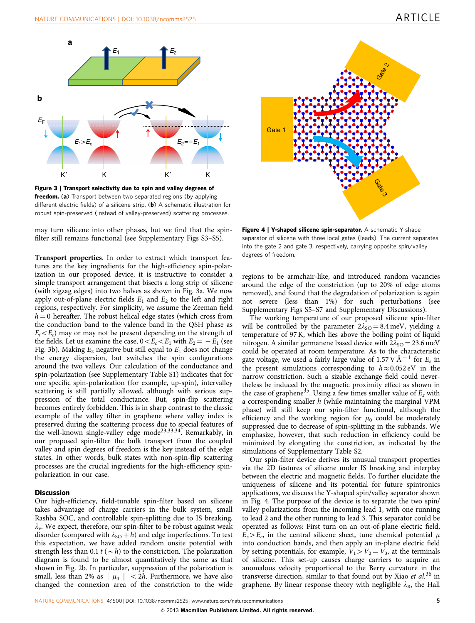

Figure 3 | Transport selectivity due to spin and valley degrees of freedom. (a) Transport between two separated regions (by applying different electric fields) of a silicene strip.  $(b)$  A schematic illustration for robust spin-preserved (instead of valley-preserved) scattering processes.

may turn silicene into other phases, but we find that the spinfilter still remains functional (see Supplementary Figs S3–S5).

Transport properties. In order to extract which transport features are the key ingredients for the high-efficiency spin-polarization in our proposed device, it is instructive to consider a simple transport arrangement that bisects a long strip of silicene (with zigzag edges) into two halves as shown in Fig. 3a. We now apply out-of-plane electric fields  $E_1$  and  $E_2$  to the left and right regions, respectively. For simplicity, we assume the Zeeman field  $h = 0$  hereafter. The robust helical edge states (which cross from the conduction band to the valence band in the QSH phase as  $E_i \langle E_c \rangle$  may or may not be present depending on the strength of the fields. Let us examine the case,  $0 < E_c < E_1$  with  $E_2 = -E_1$  (see Fig. 3b). Making  $E_2$  negative but still equal to  $E_1$  does not change the energy dispersion, but switches the spin configurations around the two valleys. Our calculation of the conductance and spin-polarization (see Supplementary Table S1) indicates that for one specific spin-polarization (for example, up-spin), intervalley scattering is still partially allowed, although with serious suppression of the total conductance. But, spin-flip scattering becomes entirely forbidden. This is in sharp contrast to the classic example of the valley filter in graphene where valley index is preserved during the scattering process due to special features of the well-known single-valley edge mode<sup>[23,33,34](#page-5-0)</sup>. Remarkably, in our proposed spin-filter the bulk transport from the coupled valley and spin degrees of freedom is the key instead of the edge states. In other words, bulk states with non-spin-flip scattering processes are the crucial ingredients for the high-efficiency spinpolarization in our case.

#### **Discussion**

Our high-efficiency, field-tunable spin-filter based on silicene takes advantage of charge carriers in the bulk system, small Rashba SOC, and controllable spin-splitting due to IS breaking,  $\lambda_{v}$ . We expect, therefore, our spin-filter to be robust against weak disorder (compared with  $\lambda_{\text{SO}} + h$ ) and edge imperfections. To test this expectation, we have added random onsite potential with strength less than 0.1  $t \left(\sim h\right)$  to the constriction. The polarization diagram is found to be almost quantitatively the same as that shown in [Fig. 2b](#page-3-0). In particular, suppression of the polarization is small, less than 2% as  $|\mu_0| < 2h$ . Furthermore, we have also changed the connexion area of the constriction to the wide



Figure 4 | Y-shaped silicene spin-separator. A schematic Y-shape separator of silicene with three local gates (leads). The current separates into the gate 2 and gate 3, respectively, carrying opposite spin/valley degrees of freedom.

regions to be armchair-like, and introduced random vacancies around the edge of the constriction (up to 20% of edge atoms removed), and found that the degradation of polarization is again not severe (less than 1%) for such perturbations (see Supplementary Figs S5–S7 and Supplementary Discussions).

The working temperature of our proposed silicene spin-filter will be controlled by the parameter  $2\lambda_{\text{SO}} = 8.4 \text{ meV}$ , yielding a temperature of 97 K, which lies above the boiling point of liquid nitrogen. A similar germanene based device with  $2\lambda_{\text{SO}} = 23.6 \text{ meV}$ could be operated at room temperature. As to the characteristic gate voltage, we used a fairly large value of  $1.57 \text{ V} \text{ Å}^{-1}$  for  $E_z$  in the present simulations corresponding to  $h \approx 0.052 \text{ eV}$  in the narrow constriction. Such a sizable exchange field could nevertheless be induced by the magnetic proximity effect as shown in the case of graphene<sup>35</sup>. Using a few times smaller value of  $E<sub>z</sub>$  with a corresponding smaller  $h$  (while maintaining the marginal VPM phase) will still keep our spin-filter functional, although the efficiency and the working region for  $\mu_0$  could be moderately suppressed due to decrease of spin-splitting in the subbands. We emphasize, however, that such reduction in efficiency could be minimized by elongating the constriction, as indicated by the simulations of Supplementary Table S2.

Our spin-filter device derives its unusual transport properties via the 2D features of silicene under IS breaking and interplay between the electric and magnetic fields. To further elucidate the uniqueness of silicene and its potential for future spintronics applications, we discuss the Y-shaped spin/valley separator shown in Fig. 4. The purpose of the device is to separate the two spin/ valley polarizations from the incoming lead 1, with one running to lead 2 and the other running to lead 3. This separator could be operated as follows: First turn on an out-of-plane electric field,  $E_z>E_c$ , in the central silicene sheet, tune chemical potential  $\mu$ into conduction bands, and then apply an in-plane electric field by setting potentials, for example,  $V_1 > V_2 = V_3$ , at the terminals of silicene. This set-up causes charge carriers to acquire an anomalous velocity proportional to the Berry curvature in the transverse direction, similar to that found out by Xiao et  $al.^{36}$  $al.^{36}$  $al.^{36}$  in graphene. By linear response theory with negligible  $\lambda_{\rm R}$ , the Hall